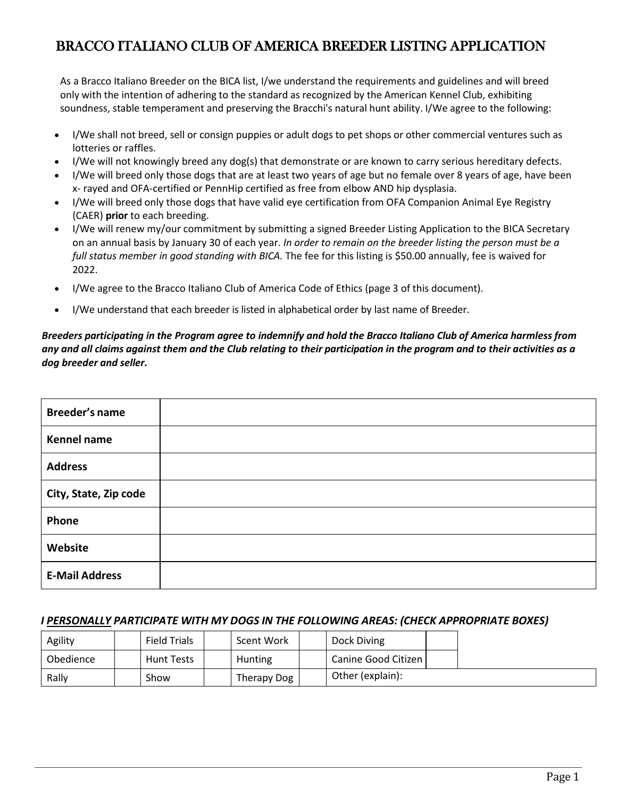# BRACCO ITALIANO CLUB OF AMERICA BREEDER LISTING APPLICATION

As a Bracco Italiano Breeder on the BICA list, I/we understand the requirements and guidelines and will breed only with the intention of adhering to the standard as recognized by the American Kennel Club, exhibiting soundness, stable temperament and preserving the Bracchi's natural hunt ability. I/We agree to the following:

- I/We shall not breed, sell or consign puppies or adult dogs to pet shops or other commercial ventures such as lotteries or raffles.
- I/We will not knowingly breed any dog(s) that demonstrate or are known to carry serious hereditary defects.
- I/We will breed only those dogs that are at least two years of age but no female over 8 years of age, have been x- rayed and OFA-certified or PennHip certified as free from elbow AND hip dysplasia.
- I/We will breed only those dogs that have valid eye certification from OFA Companion Animal Eye Registry (CAER) **prior** to each breeding.
- I/We will renew my/our commitment by submitting a signed Breeder Listing Application to the BICA Secretary on an annual basis by January 30 of each year. *In order to remain on the breeder listing the person must be a full status member in good standing with BICA.* The fee for this listing is \$50.00 annually, fee is waived for 2022.
- I/We agree to the Bracco Italiano Club of America Code of Ethics (page 3 of this document).
- I/We understand that each breeder is listed in alphabetical order by last name of Breeder.

*Breeders participating in the Program agree to indemnify and hold the Bracco Italiano Club of America harmless from any and all claims against them and the Club relating to their participation in the program and to their activities as a dog breeder and seller.* 

| Breeder's name        |  |
|-----------------------|--|
| <b>Kennel name</b>    |  |
| <b>Address</b>        |  |
| City, State, Zip code |  |
| Phone                 |  |
| Website               |  |
| <b>E-Mail Address</b> |  |

#### *I PERSONALLY PARTICIPATE WITH MY DOGS IN THE FOLLOWING AREAS: (CHECK APPROPRIATE BOXES)*

| Agility   | <b>Field Trials</b> | Scent Work  | Dock Diving         |  |
|-----------|---------------------|-------------|---------------------|--|
| Obedience | <b>Hunt Tests</b>   | Hunting     | Canine Good Citizen |  |
| Rally     | Show                | Therapy Dog | Other (explain):    |  |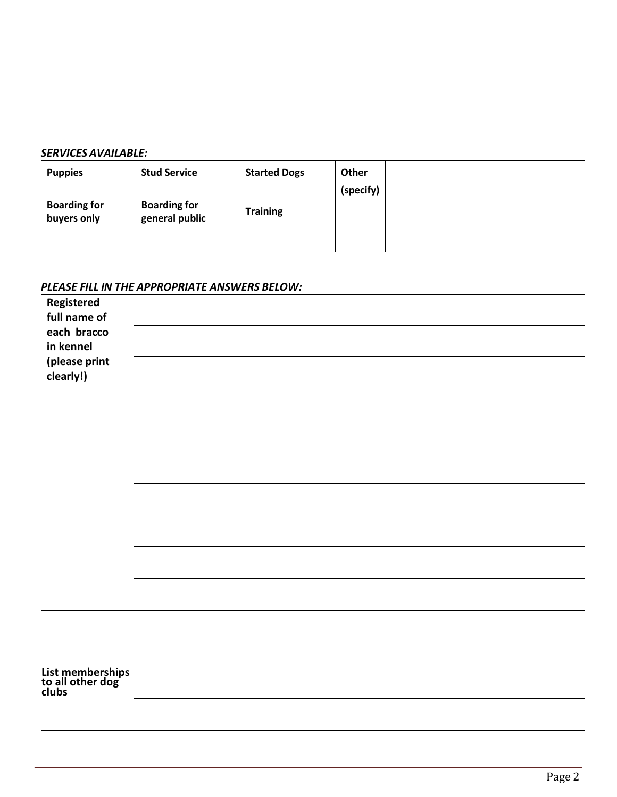#### *SERVICES AVAILABLE:*

| <b>Puppies</b>                     | <b>Stud Service</b>                   | <b>Started Dogs</b> | Other<br>(specify) |  |
|------------------------------------|---------------------------------------|---------------------|--------------------|--|
| <b>Boarding for</b><br>buyers only | <b>Boarding for</b><br>general public | <b>Training</b>     |                    |  |

## *PLEASE FILL IN THE APPROPRIATE ANSWERS BELOW:*

| <b>Registered</b> |  |
|-------------------|--|
| full name of      |  |
| each bracco       |  |
| in kennel         |  |
| (please print     |  |
| clearly!)         |  |
|                   |  |
|                   |  |
|                   |  |
|                   |  |
|                   |  |
|                   |  |
|                   |  |
|                   |  |
|                   |  |
|                   |  |
|                   |  |
|                   |  |
|                   |  |
|                   |  |
|                   |  |

| List memberships<br>to all other dog<br>clubs |  |
|-----------------------------------------------|--|
|                                               |  |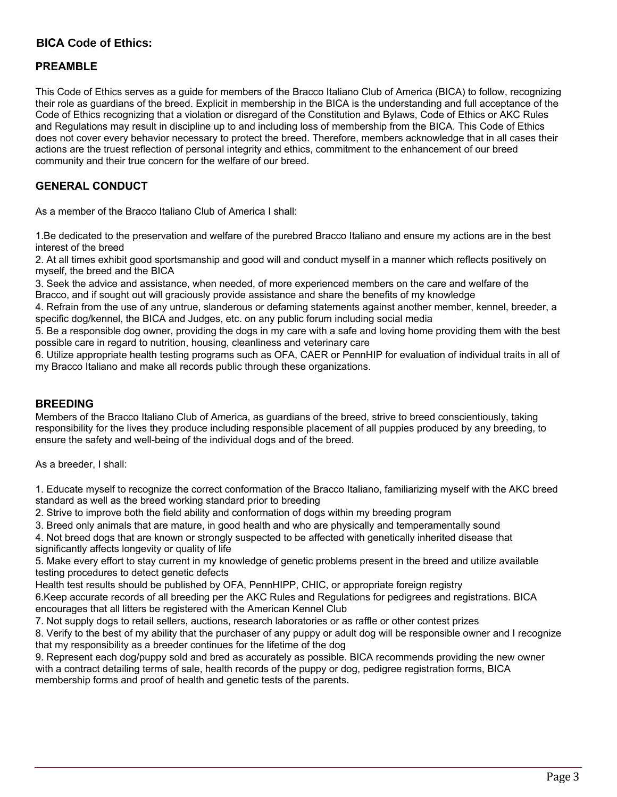## **BICA Code of Ethics:**

### **PREAMBLE**

This Code of Ethics serves as a guide for members of the Bracco Italiano Club of America (BICA) to follow, recognizing their role as guardians of the breed. Explicit in membership in the BICA is the understanding and full acceptance of the Code of Ethics recognizing that a violation or disregard of the Constitution and Bylaws, Code of Ethics or AKC Rules and Regulations may result in discipline up to and including loss of membership from the BICA. This Code of Ethics does not cover every behavior necessary to protect the breed. Therefore, members acknowledge that in all cases their actions are the truest reflection of personal integrity and ethics, commitment to the enhancement of our breed community and their true concern for the welfare of our breed.

### **GENERAL CONDUCT**

As a member of the Bracco Italiano Club of America I shall:

1.Be dedicated to the preservation and welfare of the purebred Bracco Italiano and ensure my actions are in the best interest of the breed

2. At all times exhibit good sportsmanship and good will and conduct myself in a manner which reflects positively on myself, the breed and the BICA

3. Seek the advice and assistance, when needed, of more experienced members on the care and welfare of the Bracco, and if sought out will graciously provide assistance and share the benefits of my knowledge

4. Refrain from the use of any untrue, slanderous or defaming statements against another member, kennel, breeder, a specific dog/kennel, the BICA and Judges, etc. on any public forum including social media

5. Be a responsible dog owner, providing the dogs in my care with a safe and loving home providing them with the best possible care in regard to nutrition, housing, cleanliness and veterinary care

6. Utilize appropriate health testing programs such as OFA, CAER or PennHIP for evaluation of individual traits in all of my Bracco Italiano and make all records public through these organizations.

#### **BREEDING**

Members of the Bracco Italiano Club of America, as guardians of the breed, strive to breed conscientiously, taking responsibility for the lives they produce including responsible placement of all puppies produced by any breeding, to ensure the safety and well-being of the individual dogs and of the breed.

As a breeder, I shall:

1. Educate myself to recognize the correct conformation of the Bracco Italiano, familiarizing myself with the AKC breed standard as well as the breed working standard prior to breeding

2. Strive to improve both the field ability and conformation of dogs within my breeding program

3. Breed only animals that are mature, in good health and who are physically and temperamentally sound

4. Not breed dogs that are known or strongly suspected to be affected with genetically inherited disease that significantly affects longevity or quality of life

5. Make every effort to stay current in my knowledge of genetic problems present in the breed and utilize available testing procedures to detect genetic defects

Health test results should be published by OFA, PennHIPP, CHIC, or appropriate foreign registry

6.Keep accurate records of all breeding per the AKC Rules and Regulations for pedigrees and registrations. BICA encourages that all litters be registered with the American Kennel Club

7. Not supply dogs to retail sellers, auctions, research laboratories or as raffle or other contest prizes

8. Verify to the best of my ability that the purchaser of any puppy or adult dog will be responsible owner and I recognize that my responsibility as a breeder continues for the lifetime of the dog

9. Represent each dog/puppy sold and bred as accurately as possible. BICA recommends providing the new owner with a contract detailing terms of sale, health records of the puppy or dog, pedigree registration forms, BICA membership forms and proof of health and genetic tests of the parents.